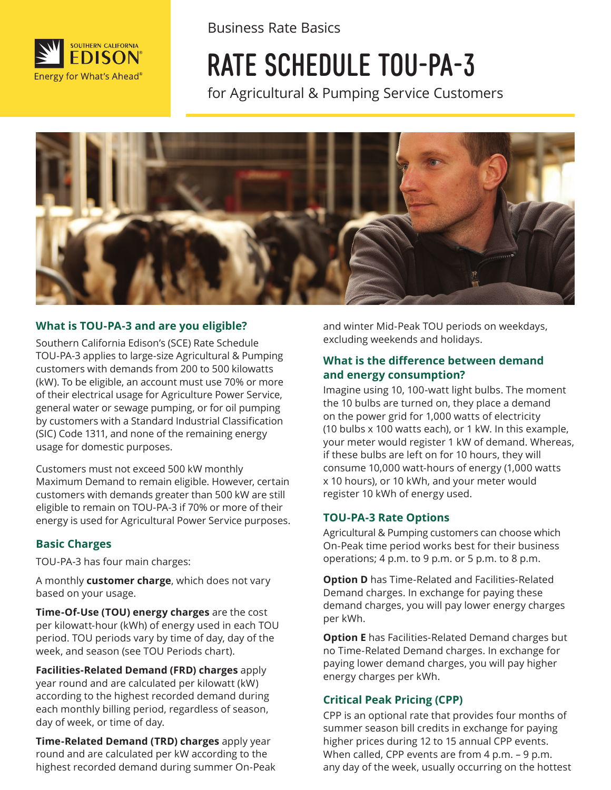

Business Rate Basics

# RATE SCHEDULE TOU-PA-3

for Agricultural & Pumping Service Customers



#### **What is TOU-PA-3 and are you eligible?**

Southern California Edison's (SCE) Rate Schedule TOU-PA-3 applies to large-size Agricultural & Pumping customers with demands from 200 to 500 kilowatts (kW). To be eligible, an account must use 70% or more of their electrical usage for Agriculture Power Service, general water or sewage pumping, or for oil pumping by customers with a Standard Industrial Classification (SIC) Code 1311, and none of the remaining energy usage for domestic purposes. Customers must not exceed 500 kW monthly

 energy is used for Agricultural Power Service purposes. Maximum Demand to remain eligible. However, certain customers with demands greater than 500 kW are still eligible to remain on TOU-PA-3 if 70% or more of their

#### **Basic Charges**

TOU-PA-3 has four main charges:

A monthly **customer charge**, which does not vary based on your usage.

**Time-Of-Use (TOU) energy charges** are the cost per kilowatt-hour (kWh) of energy used in each TOU period. TOU periods vary by time of day, day of the week, and season (see TOU Periods chart).

**Facilities-Related Demand (FRD) charges** apply year round and are calculated per kilowatt (kW) according to the highest recorded demand during each monthly billing period, regardless of season, day of week, or time of day.

**Time-Related Demand (TRD) charges** apply year round and are calculated per kW according to the highest recorded demand during summer On-Peak and winter Mid-Peak TOU periods on weekdays, excluding weekends and holidays.

#### **What is the difference between demand and energy consumption?**

Imagine using 10, 100-watt light bulbs. The moment the 10 bulbs are turned on, they place a demand on the power grid for 1,000 watts of electricity (10 bulbs x 100 watts each), or 1 kW. In this example, your meter would register 1 kW of demand. Whereas, if these bulbs are left on for 10 hours, they will consume 10,000 watt-hours of energy (1,000 watts x 10 hours), or 10 kWh, and your meter would register 10 kWh of energy used.

#### **TOU-PA-3 Rate Options**

Agricultural & Pumping customers can choose which On-Peak time period works best for their business operations; 4 p.m. to 9 p.m. or 5 p.m. to 8 p.m.

**Option D** has Time-Related and Facilities-Related Demand charges. In exchange for paying these demand charges, you will pay lower energy charges per kWh.

**Option E** has Facilities-Related Demand charges but no Time-Related Demand charges. In exchange for paying lower demand charges, you will pay higher energy charges per kWh.

#### **Critical Peak Pricing (CPP)**

CPP is an optional rate that provides four months of summer season bill credits in exchange for paying higher prices during 12 to 15 annual CPP events. When called, CPP events are from 4 p.m. - 9 p.m. any day of the week, usually occurring on the hottest